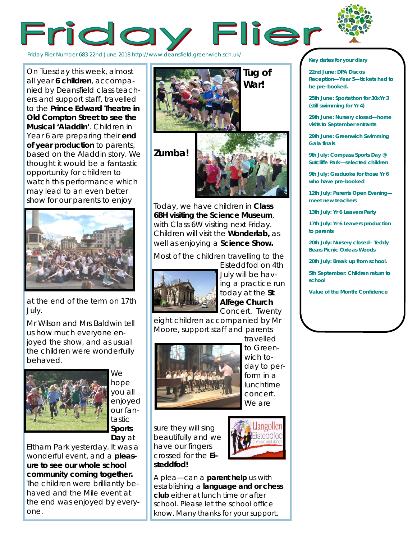



Friday Flier Number 683 22nd June 2018 http://www.deansfield.greenwich.sch.uk/

On Tuesday this week, almost all year **6 children**, accompanied by Deansfield class teachers and support staff, travelled to the **Prince Edward Theatre in Old Compton Street to see the Musical 'Aladdin'**. Children in Year 6 are preparing their **end of year production** to parents, based on the Aladdin story. We thought it would be a fantastic opportunity for children to watch this performance which may lead to an even better show for our parents to enjoy



at the end of the term on 17th July.

Mr Wilson and Mrs Baldwin tell us how much everyone enjoyed the show, and as usual the children were wonderfully behaved.



We hope you all enjoyed our fantastic **Sports Day** at

Eltham Park yesterday. It was a wonderful event, and a **pleasure to see our whole school community coming together.**  The children were brilliantly behaved and the Mile event at the end was enjoyed by everyone.



Today, we have children in **Class 6BH visiting the Science Museum**, with Class 6W visiting next Friday. Children will visit the **Wonderlab,** as well as enjoying a **Science Show.** 

Most of the children travelling to the



Eisteddfod on 4th July will be having a practice run today at the **St Alfege Church**  Concert. Twenty

eight children accompanied by Mr Moore, support staff and parents



travelled to Greenwich today to perform in a lunchtime concert. We are

sure they will sing beautifully and we have our fingers crossed for the **Eisteddfod!**



A plea—can a **parent help** us with establishing a **language and or chess club** either at lunch time or after school. Please let the school office know. Many thanks for your support.

#### *Key dates for your diary*

**22nd June: DPA Discos Reception—Year 5—tickets had to be pre-booked.**

**25th June: Sportathon for 30xYr 3 (still swimming for Yr 4)**

**29th June: Nursery closed—home visits to September entrants**

**29th June: Greenwich Swimming Gala finals**

**9th July: Compass Sports Day @ Sutcliffe Park—selected children**

**9th July: Graduoke for those Yr 6 who have pre-booked**

**12th July: Parents Open Evening meet new teachers**

**13th July: Yr 6 Leavers Party**

**17th July: Yr 6 Leavers production to parents**

**20th July: Nursery closed– Teddy Bears Picnic Oxleas Woods**

**20th July: Break up from school.**

**5th September: Children return to school**

**Value of the Month: Confidence**